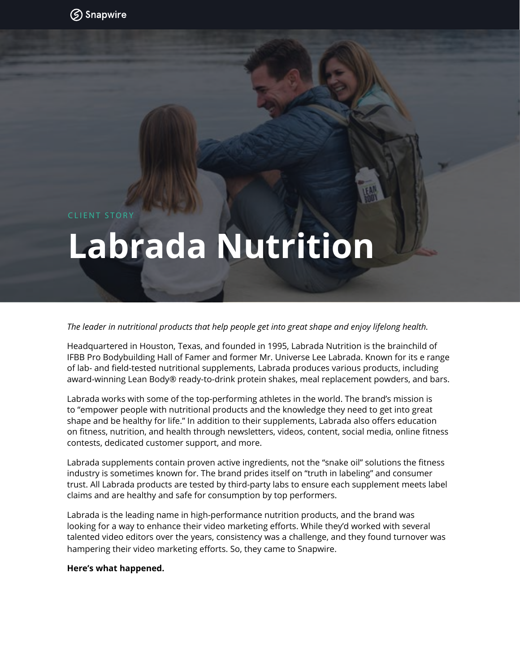## CLIENT STORY

# **Labrada Nutrition**

## *The leader in nutritional products that help people get into great shape and enjoy lifelong health.*

Headquartered in Houston, Texas, and founded in 1995, Labrada Nutrition is the brainchild of IFBB Pro Bodybuilding Hall of Famer and former Mr. Universe Lee Labrada. Known for its e range of lab- and field-tested nutritional supplements, Labrada produces various products, including award-winning Lean Body® ready-to-drink protein shakes, meal replacement powders, and bars.

Labrada works with some of the top-performing athletes in the world. The brand's mission is to "empower people with nutritional products and the knowledge they need to get into great shape and be healthy for life." In addition to their supplements, Labrada also offers education on fitness, nutrition, and health through newsletters, videos, content, social media, online fitness contests, dedicated customer support, and more.

Labrada supplements contain proven active ingredients, not the "snake oil" solutions the fitness industry is sometimes known for. The brand prides itself on "truth in labeling" and consumer trust. All Labrada products are tested by third-party labs to ensure each supplement meets label claims and are healthy and safe for consumption by top performers.

Labrada is the leading name in high-performance nutrition products, and the brand was looking for a way to enhance their video marketing efforts. While they'd worked with several talented video editors over the years, consistency was a challenge, and they found turnover was hampering their video marketing efforts. So, they came to Snapwire.

#### **Here's what happened.**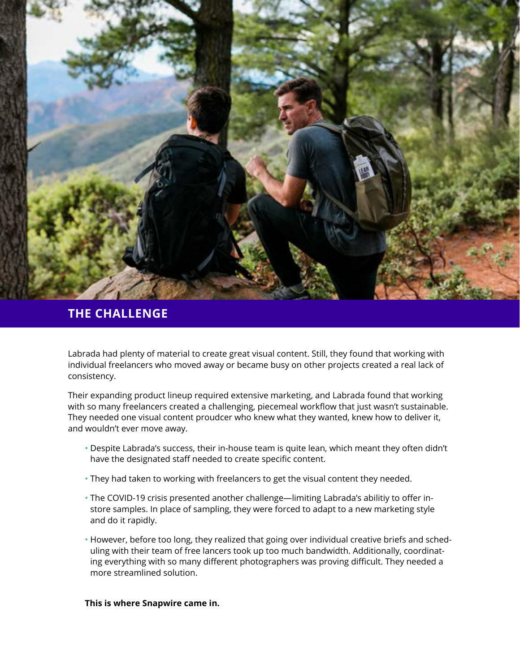

## **THE CHALLENGE**

Labrada had plenty of material to create great visual content. Still, they found that working with individual freelancers who moved away or became busy on other projects created a real lack of consistency.

Their expanding product lineup required extensive marketing, and Labrada found that working with so many freelancers created a challenging, piecemeal workflow that just wasn't sustainable. They needed one visual content proudcer who knew what they wanted, knew how to deliver it, and wouldn't ever move away.

- Despite Labrada's success, their in-house team is quite lean, which meant they often didn't have the designated staff needed to create specific content.
- They had taken to working with freelancers to get the visual content they needed.
- The COVID-19 crisis presented another challenge—limiting Labrada's abilitiy to offer instore samples. In place of sampling, they were forced to adapt to a new marketing style and do it rapidly.
- However, before too long, they realized that going over individual creative briefs and scheduling with their team of free lancers took up too much bandwidth. Additionally, coordinating everything with so many different photographers was proving difficult. They needed a more streamlined solution.

## **This is where Snapwire came in.**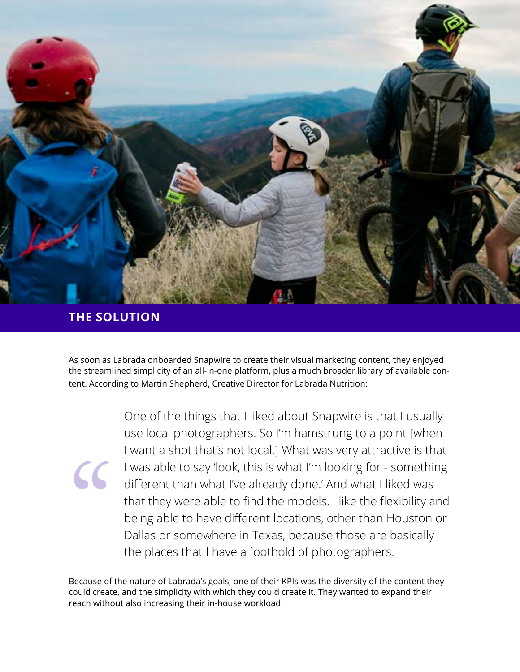

## **THE SOLUTION**

As soon as Labrada onboarded Snapwire to create their visual marketing content, they enjoyed the streamlined simplicity of an all-in-one platform, plus a much broader library of available content. According to Martin Shepherd, Creative Director for Labrada Nutrition:

> One of the things that I liked about Snapwire is that I usually use local photographers. So I'm hamstrung to a point [when I want a shot that's not local.] What was very attractive is that I was able to say 'look, this is what I'm looking for - something different than what I've already done.' And what I liked was that they were able to find the models. I like the flexibility and being able to have different locations, other than Houston or Dallas or somewhere in Texas, because those are basically the places that I have a foothold of photographers.

Because of the nature of Labrada's goals, one of their KPIs was the diversity of the content they could create, and the simplicity with which they could create it. They wanted to expand their reach without also increasing their in-house workload.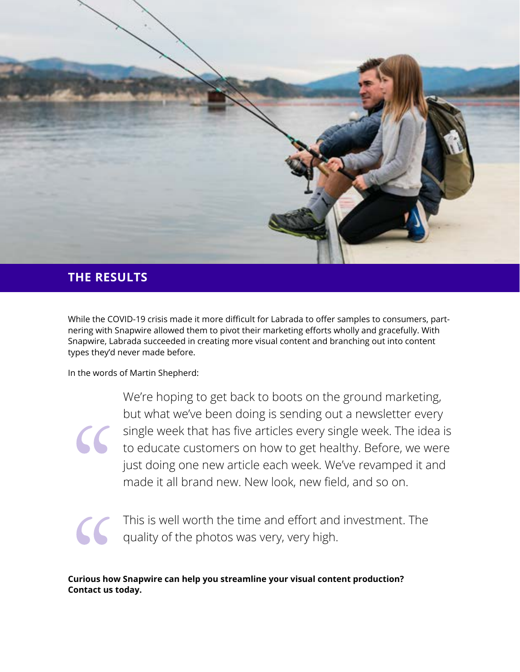

## **THE RESULTS**

While the COVID-19 crisis made it more difficult for Labrada to offer samples to consumers, partnering with Snapwire allowed them to pivot their marketing efforts wholly and gracefully. With Snapwire, Labrada succeeded in creating more visual content and branching out into content types they'd never made before.

In the words of Martin Shepherd:

We're hoping to get back to boots on the ground marketing, but what we've been doing is sending out a newsletter every single week that has five articles every single week. The idea is to educate customers on how to get healthy. Before, we were just doing one new article each week. We've revamped it and made it all brand new. New look, new field, and so on.

This is well worth the time and effort and investment. The **CC** Truis is wentworked by the photos was very, very high.

**Curious how Snapwire can help you streamline your visual content production? Contact us today.**